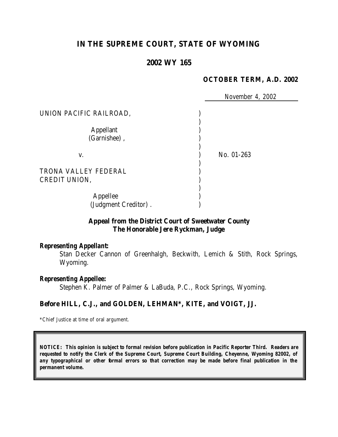# **IN THE SUPREME COURT, STATE OF WYOMING**

## **2002 WY 165**

#### **OCTOBER TERM, A.D. 2002**

 *November 4, 2002* UNION PACIFIC RAILROAD, (1999) ) Appellant (1) (Garnishee) , ) ) v. ) No. 01-263 ) TRONA VALLEY FEDERAL ) CREDIT UNION. ) Appellee ) (Judgment Creditor) .

### **Appeal from the District Court of Sweetwater County The Honorable Jere Ryckman, Judge**

#### *Representing Appellant:*

Stan Decker Cannon of Greenhalgh, Beckwith, Lemich & Stith, Rock Springs, Wyoming.

#### *Representing Appellee:*

Stephen K. Palmer of Palmer & LaBuda, P.C., Rock Springs, Wyoming.

#### **Before HILL, C.J., and GOLDEN, LEHMAN\*, KITE, and VOIGT, JJ.**

\*Chief Justice at time of oral argument.

*NOTICE: This opinion is subject to formal revision before publication in Pacific Reporter Third. Readers are requested to notify the Clerk of the Supreme Court, Supreme Court Building, Cheyenne, Wyoming 82002, of any typographical or other formal errors so that correction may be made before final publication in the permanent volume.*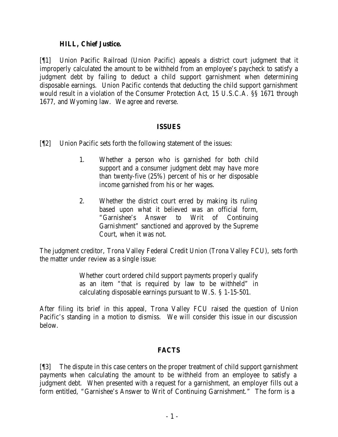### **HILL, Chief Justice.**

[¶1] Union Pacific Railroad (Union Pacific) appeals a district court judgment that it improperly calculated the amount to be withheld from an employee's paycheck to satisfy a judgment debt by failing to deduct a child support garnishment when determining disposable earnings. Union Pacific contends that deducting the child support garnishment would result in a violation of the Consumer Protection Act, 15 U.S.C.A. §§ 1671 through 1677, and Wyoming law. We agree and reverse.

### **ISSUES**

- [¶2] Union Pacific sets forth the following statement of the issues:
	- 1. Whether a person who is garnished for both child support and a consumer judgment debt may have more than twenty-five (25%) percent of his or her disposable income garnished from his or her wages.
	- 2. Whether the district court erred by making its ruling based upon what it believed was an official form, "Garnishee's Answer to Writ of Continuing Garnishment" sanctioned and approved by the Supreme Court, when it was not.

The judgment creditor, Trona Valley Federal Credit Union (Trona Valley FCU), sets forth the matter under review as a single issue:

> Whether court ordered child support payments properly qualify as an item "that is required by law to be withheld" in calculating disposable earnings pursuant to W.S. § 1-15-501.

After filing its brief in this appeal, Trona Valley FCU raised the question of Union Pacific's standing in a motion to dismiss. We will consider this issue in our discussion below.

## **FACTS**

[¶3] The dispute in this case centers on the proper treatment of child support garnishment payments when calculating the amount to be withheld from an employee to satisfy a judgment debt. When presented with a request for a garnishment, an employer fills out a form entitled, "Garnishee's Answer to Writ of Continuing Garnishment." The form is a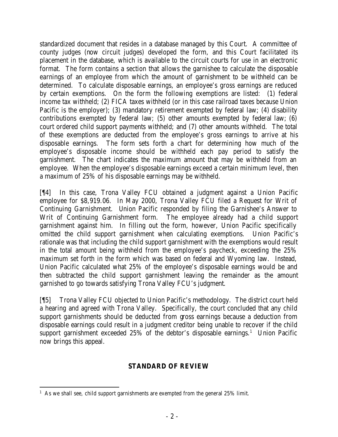standardized document that resides in a database managed by this Court. A committee of county judges (now circuit judges) developed the form, and this Court facilitated its placement in the database, which is available to the circuit courts for use in an electronic format. The form contains a section that allows the garnishee to calculate the disposable earnings of an employee from which the amount of garnishment to be withheld can be determined. To calculate disposable earnings, an employee's gross earnings are reduced by certain exemptions. On the form the following exemptions are listed: (1) federal income tax withheld; (2) FICA taxes withheld (or in this case railroad taxes because Union Pacific is the employer); (3) mandatory retirement exempted by federal law; (4) disability contributions exempted by federal law; (5) other amounts exempted by federal law; (6) court ordered child support payments withheld; and (7) other amounts withheld. The total of these exemptions are deducted from the employee's gross earnings to arrive at his disposable earnings. The form sets forth a chart for determining how much of the employee's disposable income should be withheld each pay period to satisfy the garnishment. The chart indicates the maximum amount that may be withheld from an employee. When the employee's disposable earnings exceed a certain minimum level, then a maximum of 25% of his disposable earnings may be withheld.

[¶4] In this case, Trona Valley FCU obtained a judgment against a Union Pacific employee for \$8,919.06. In May 2000, Trona Valley FCU filed a Request for Writ of Continuing Garnishment. Union Pacific responded by filing the Garnishee's Answer to Writ of Continuing Garnishment form. The employee already had a child support garnishment against him. In filling out the form, however, Union Pacific specifically omitted the child support garnishment when calculating exemptions. Union Pacific's rationale was that including the child support garnishment with the exemptions would result in the total amount being withheld from the employee's paycheck, exceeding the 25% maximum set forth in the form which was based on federal and Wyoming law. Instead, Union Pacific calculated what 25% of the employee's disposable earnings would be and then subtracted the child support garnishment leaving the remainder as the amount garnished to go towards satisfying Trona Valley FCU's judgment.

[¶5] Trona Valley FCU objected to Union Pacific's methodology. The district court held a hearing and agreed with Trona Valley. Specifically, the court concluded that any child support garnishments should be deducted from gross earnings because a deduction from disposable earnings could result in a judgment creditor being unable to recover if the child support garnishment exceeded  $25\%$  of the debtor's disposable earnings.<sup>1</sup> Union Pacific now brings this appeal.

# **STANDARD OF REVIEW**

 <sup>1</sup> As we shall see, child support garnishments are exempted from the general  $25\%$  limit.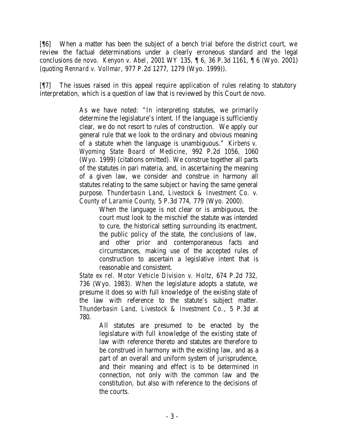[¶6] When a matter has been the subject of a bench trial before the district court, we review the factual determinations under a clearly erroneous standard and the legal conclusions *de novo*. *Kenyon v. Abel*, 2001 WY 135, ¶ 6, 36 P.3d 1161, ¶ 6 (Wyo. 2001) (quoting *Rennard v. Vollmar*, 977 P.2d 1277, 1279 (Wyo. 1999)).

[¶7] The issues raised in this appeal require application of rules relating to statutory interpretation, which is a question of law that is reviewed by this Court *de novo.*

> As we have noted: "In interpreting statutes, we primarily determine the legislature's intent. If the language is sufficiently clear, we do not resort to rules of construction. We apply our general rule that we look to the ordinary and obvious meaning of a statute when the language is unambiguous." *Kirbens v. Wyoming State Board of Medicine*, 992 P.2d 1056, 1060 (Wyo. 1999) (citations omitted). We construe together all parts of the statutes in pari materia, and, in ascertaining the meaning of a given law, we consider and construe in harmony all statutes relating to the same subject or having the same general purpose. *Thunderbasin Land, Livestock & Investment Co. v. County of Laramie County*, 5 P.3d 774, 779 (Wyo. 2000).

> > When the language is not clear or is ambiguous, the court must look to the mischief the statute was intended to cure, the historical setting surrounding its enactment, the public policy of the state, the conclusions of law, and other prior and contemporaneous facts and circumstances, making use of the accepted rules of construction to ascertain a legislative intent that is reasonable and consistent.

*State ex rel. Motor Vehicle Division v. Holtz*, 674 P.2d 732, 736 (Wyo. 1983). When the legislature adopts a statute, we presume it does so with full knowledge of the existing state of the law with reference to the statute's subject matter. *Thunderbasin Land, Livestock & Investment Co.*, 5 P.3d at 780.

> All statutes are presumed to be enacted by the legislature with full knowledge of the existing state of law with reference thereto and statutes are therefore to be construed in harmony with the existing law, and as a part of an overall and uniform system of jurisprudence, and their meaning and effect is to be determined in connection, not only with the common law and the constitution, but also with reference to the decisions of the courts.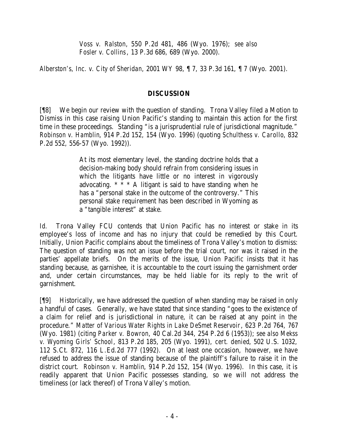*Voss v. Ralston*, 550 P.2d 481, 486 (Wyo. 1976); *see also Fosler v. Collins*, 13 P.3d 686, 689 (Wyo. 2000).

*Alberston's, Inc. v. City of Sheridan*, 2001 WY 98, ¶ 7, 33 P.3d 161, ¶ 7 (Wyo. 2001).

## **DISCUSSION**

[¶8] We begin our review with the question of standing. Trona Valley filed a Motion to Dismiss in this case raising Union Pacific's standing to maintain this action for the first time in these proceedings. Standing "is a jurisprudential rule of jurisdictional magnitude." *Robinson v. Hamblin*, 914 P.2d 152, 154 (Wyo. 1996) (quoting *Schulthess v. Carollo*, 832 P.2d 552, 556-57 (Wyo. 1992)).

> At its most elementary level, the standing doctrine holds that a decision-making body should refrain from considering issues in which the litigants have little or no interest in vigorously advocating.  $* * * A$  litigant is said to have standing when he has a "personal stake in the outcome of the controversy." This personal stake requirement has been described in Wyoming as a "tangible interest" at stake.

*Id.* Trona Valley FCU contends that Union Pacific has no interest or stake in its employee's loss of income and has no injury that could be remedied by this Court. Initially, Union Pacific complains about the timeliness of Trona Valley's motion to dismiss: The question of standing was not an issue before the trial court, nor was it raised in the parties' appellate briefs. On the merits of the issue, Union Pacific insists that it has standing because, as garnishee, it is accountable to the court issuing the garnishment order and, under certain circumstances, may be held liable for its reply to the writ of garnishment.

[¶9] Historically, we have addressed the question of when standing may be raised in only a handful of cases. Generally, we have stated that since standing "goes to the existence of a claim for relief and is jurisdictional in nature, it can be raised at any point in the procedure." *Matter of Various Water Rights in Lake DeSmet Reservoir*, 623 P.2d 764, 767 (Wyo. 1981) (citing *Parker v. Bowron*, 40 Cal.2d 344, 254 P.2d 6 (1953)); *see also Mekss v. Wyoming Girls' School*, 813 P.2d 185, 205 (Wyo. 1991), *cert. denied*, 502 U.S. 1032, 112 S.Ct. 872, 116 L.Ed.2d 777 (1992). On at least one occasion, however, we have refused to address the issue of standing because of the plaintiff's failure to raise it in the district court. *Robinson v. Hamblin*, 914 P.2d 152, 154 (Wyo. 1996). In this case, it is readily apparent that Union Pacific possesses standing, so we will not address the timeliness (or lack thereof) of Trona Valley's motion.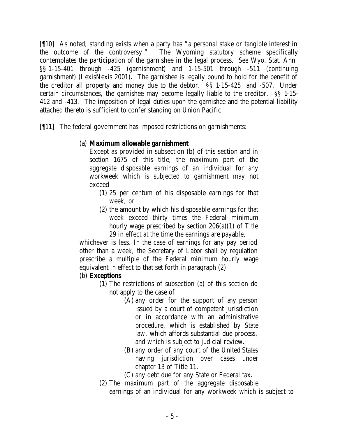[¶10] As noted, standing exists when a party has "a personal stake or tangible interest in the outcome of the controversy." The Wyoming statutory scheme specifically contemplates the participation of the garnishee in the legal process. *See* Wyo. Stat. Ann. §§ 1-15-401 through -425 (garnishment) and 1-15-501 through -511 (continuing garnishment) (LexisNexis 2001). The garnishee is legally bound to hold for the benefit of the creditor all property and money due to the debtor. §§ 1-15-425 and -507. Under certain circumstances, the garnishee may become legally liable to the creditor. §§ 1-15- 412 and -413. The imposition of legal duties upon the garnishee and the potential liability attached thereto is sufficient to confer standing on Union Pacific.

[¶11] The federal government has imposed restrictions on garnishments:

# (a) **Maximum allowable garnishment**

Except as provided in subsection (b) of this section and in section 1675 of this title, the maximum part of the aggregate disposable earnings of an individual for any workweek which is subjected to garnishment may not exceed

- (1) 25 per centum of his disposable earnings for that week, or
- (2) the amount by which his disposable earnings for that week exceed thirty times the Federal minimum hourly wage prescribed by section 206(a)(1) of Title 29 in effect at the time the earnings are payable,

whichever is less. In the case of earnings for any pay period other than a week, the Secretary of Labor shall by regulation prescribe a multiple of the Federal minimum hourly wage equivalent in effect to that set forth in paragraph (2).

# (b) **Exceptions**

- (1) The restrictions of subsection (a) of this section do not apply to the case of
	- (A) any order for the support of any person issued by a court of competent jurisdiction or in accordance with an administrative procedure, which is established by State law, which affords substantial due process, and which is subject to judicial review.
	- (B) any order of any court of the United States having jurisdiction over cases under chapter 13 of Title 11.
	- (C) any debt due for any State or Federal tax.
- (2) The maximum part of the aggregate disposable earnings of an individual for any workweek which is subject to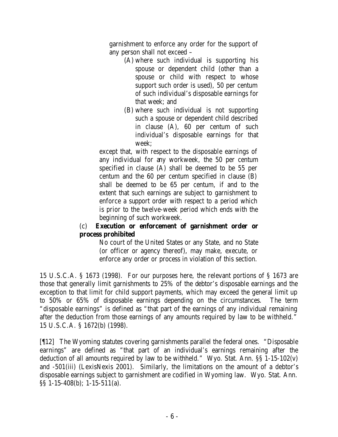garnishment to enforce any order for the support of any person shall not exceed –

- (A) where such individual is supporting his spouse or dependent child (other than a spouse or child with respect to whose support such order is used), 50 per centum of such individual's disposable earnings for that week; and
- (B) where such individual is not supporting such a spouse or dependent child described in clause (A), 60 per centum of such individual's disposable earnings for that week;

except that, with respect to the disposable earnings of any individual for any workweek, the 50 per centum specified in clause (A) shall be deemed to be 55 per centum and the 60 per centum specified in clause (B) shall be deemed to be 65 per centum, if and to the extent that such earnings are subject to garnishment to enforce a support order with respect to a period which is prior to the twelve-week period which ends with the beginning of such workweek.

## (c) **Execution or enforcement of garnishment order or process prohibited**

No court of the United States or any State, and no State (or officer or agency thereof), may make, execute, or enforce any order or process in violation of this section.

15 U.S.C.A. § 1673 (1998). For our purposes here, the relevant portions of § 1673 are those that generally limit garnishments to 25% of the debtor's disposable earnings and the exception to that limit for child support payments, which may exceed the general limit up to 50% or 65% of disposable earnings depending on the circumstances. The term "disposable earnings" is defined as "that part of the earnings of any individual remaining after the deduction from those earnings of any amounts required by law to be withheld." 15 U.S.C.A. § 1672(b) (1998).

[¶12] The Wyoming statutes covering garnishments parallel the federal ones. "Disposable earnings" are defined as "that part of an individual's earnings remaining after the deduction of all amounts required by law to be withheld." Wyo. Stat. Ann. §§ 1-15-102(v) and -501(iii) (LexisNexis 2001). Similarly, the limitations on the amount of a debtor's disposable earnings subject to garnishment are codified in Wyoming law. Wyo. Stat. Ann. §§ 1-15-408(b); 1-15-511(a).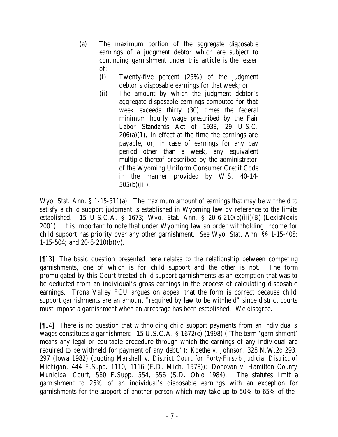(a) The maximum portion of the aggregate disposable earnings of a judgment debtor which are subject to continuing garnishment under this article is the lesser of:

- (i) Twenty-five percent (25%) of the judgment debtor's disposable earnings for that week; or
- (ii) The amount by which the judgment debtor's aggregate disposable earnings computed for that week exceeds thirty (30) times the federal minimum hourly wage prescribed by the Fair Labor Standards Act of 1938, 29 U.S.C.  $206(a)(1)$ , in effect at the time the earnings are payable, or, in case of earnings for any pay period other than a week, any equivalent multiple thereof prescribed by the administrator of the Wyoming Uniform Consumer Credit Code in the manner provided by W.S. 40-14- 505(b)(iii).

Wyo. Stat. Ann. § 1-15-511(a). The maximum amount of earnings that may be withheld to satisfy a child support judgment is established in Wyoming law by reference to the limits established. 15 U.S.C.A. § 1673; Wyo. Stat. Ann. § 20-6-210(b)(iii)(B) (LexisNexis 2001). It is important to note that under Wyoming law an order withholding income for child support has priority over any other garnishment. *See* Wyo. Stat. Ann. §§ 1-15-408; 1-15-504; and 20-6-210(b)(v).

[¶13] The basic question presented here relates to the relationship between competing garnishments, one of which is for child support and the other is not. The form promulgated by this Court treated child support garnishments as an exemption that was to be deducted from an individual's gross earnings in the process of calculating disposable earnings. Trona Valley FCU argues on appeal that the form is correct because child support garnishments are an amount "required by law to be withheld" since district courts must impose a garnishment when an arrearage has been established. We disagree.

[¶14] There is no question that withholding child support payments from an individual's wages constitutes a garnishment. 15 U.S.C.A. § 1672(c) (1998) ("The term 'garnishment' means any legal or equitable procedure through which the earnings of any individual are required to be withheld for payment of any debt."); *Koethe v. Johnson*, 328 N.W.2d 293, 297 (Iowa 1982) (quoting *Marshall v. District Court for Forty-First-b Judicial District of Michigan*, 444 F.Supp. 1110, 1116 (E.D. Mich. 1978)); *Donovan v. Hamilton County Municipal Court*, 580 F.Supp. 554, 556 (S.D. Ohio 1984). The statutes limit a garnishment to 25% of an individual's disposable earnings with an exception for garnishments for the support of another person which may take up to 50% to 65% of the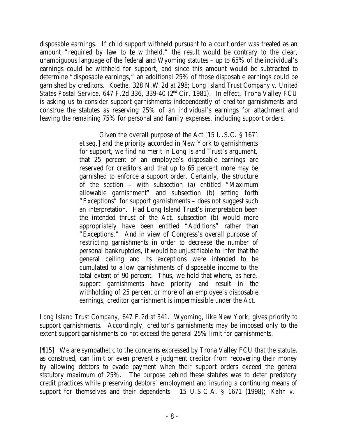disposable earnings. If child support withheld pursuant to a court order was treated as an amount "required by law to be withheld," the result would be contrary to the clear, unambiguous language of the federal and Wyoming statutes – up to 65% of the individual's earnings could be withheld for support, and since this amount would be subtracted to determine "disposable earnings," an additional 25% of those disposable earnings could be garnished by creditors. *Koethe*, 328 N.W.2d at 298; *Long Island Trust Company v. United States Postal Service*, 647 F.2d 336, 339-40 (2nd Cir. 1981). In effect, Trona Valley FCU is asking us to consider support garnishments independently of creditor garnishments and construe the statutes as reserving 25% of an individual's earnings for attachment and leaving the remaining 75% for personal and family expenses, including support orders.

> Given the overall purpose of the Act [15 U.S.C. § 1671 *et seq.*] and the priority accorded in New York to garnishments for support, we find no merit in Long Island Trust's argument, that 25 percent of an employee's disposable earnings are reserved for creditors and that up to 65 percent *more* may be garnished to enforce a support order. Certainly, the structure of the section – with subsection (a) entitled "Maximum allowable garnishment" and subsection (b) setting forth "Exceptions" for support garnishments – does not suggest such an interpretation. Had Long Island Trust's interpretation been the intended thrust of the Act, subsection (b) would more appropriately have been entitled "Additions" rather than "Exceptions." And in view of Congress's overall purpose of restricting garnishments in order to decrease the number of personal bankruptcies, it would be unjustifiable to infer that the general ceiling and its exceptions were intended to be cumulated to allow garnishments of disposable income to the total extent of 90 percent. Thus, we hold that where, as here, support garnishments have priority and result in the withholding of 25 percent or more of an employee's disposable earnings, creditor garnishment is impermissible under the Act.

*Long Island Trust Company*, 647 F.2d at 341. Wyoming, like New York, gives priority to support garnishments. Accordingly, creditor's garnishments may be imposed only to the extent support garnishments do not exceed the general 25% limit for garnishments.

[¶15] We are sympathetic to the concerns expressed by Trona Valley FCU that the statute, as construed, can limit or even prevent a judgment creditor from recovering their money by allowing debtors to evade payment when their support orders exceed the general statutory maximum of 25%. The purpose behind these statutes was to deter predatory credit practices while preserving debtors' employment and insuring a continuing means of support for themselves and their dependents. 15 U.S.C.A. § 1671 (1998); *Kahn v.*